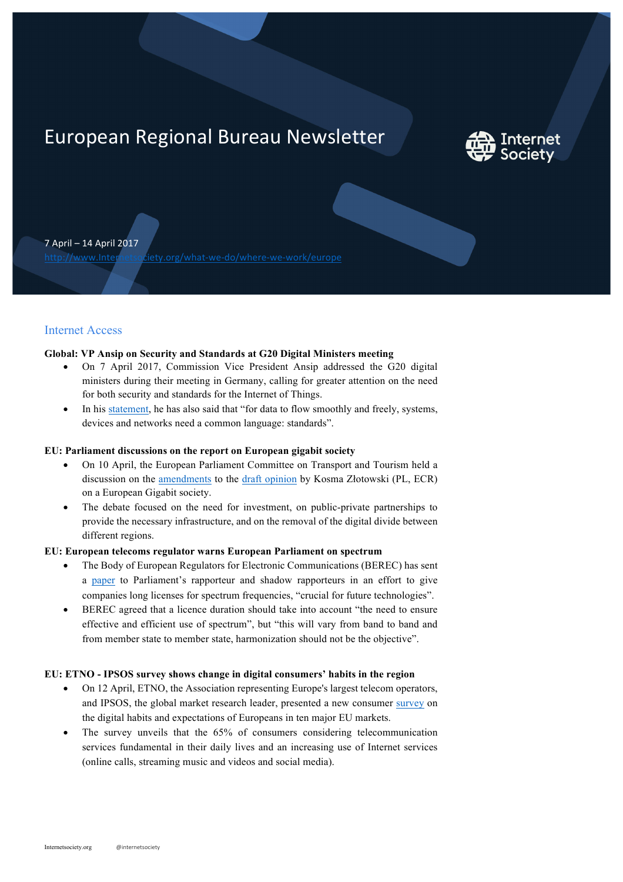# European Regional Bureau Newsletter



7 April – 14 April 2017

http://www.Internetsociety.org/what-we-do/where-we-work/europe

# Internet Access

#### **Global: VP Ansip on Security and Standards at G20 Digital Ministers meeting**

- On 7 April 2017, Commission Vice President Ansip addressed the G20 digital ministers during their meeting in Germany, calling for greater attention on the need for both security and standards for the Internet of Things.
- In his statement, he has also said that "for data to flow smoothly and freely, systems, devices and networks need a common language: standards".

## **EU: Parliament discussions on the report on European gigabit society**

- On 10 April, the European Parliament Committee on Transport and Tourism held a discussion on the amendments to the draft opinion by Kosma Złotowski (PL, ECR) on a European Gigabit society.
- The debate focused on the need for investment, on public-private partnerships to provide the necessary infrastructure, and on the removal of the digital divide between different regions.

## **EU: European telecoms regulator warns European Parliament on spectrum**

- The Body of European Regulators for Electronic Communications (BEREC) has sent a paper to Parliament's rapporteur and shadow rapporteurs in an effort to give companies long licenses for spectrum frequencies, "crucial for future technologies".
- BEREC agreed that a licence duration should take into account "the need to ensure effective and efficient use of spectrum", but "this will vary from band to band and from member state to member state, harmonization should not be the objective".

#### **EU: ETNO - IPSOS survey shows change in digital consumers' habits in the region**

- On 12 April, ETNO, the Association representing Europe's largest telecom operators, and IPSOS, the global market research leader, presented a new consumer survey on the digital habits and expectations of Europeans in ten major EU markets.
- The survey unveils that the 65% of consumers considering telecommunication services fundamental in their daily lives and an increasing use of Internet services (online calls, streaming music and videos and social media).